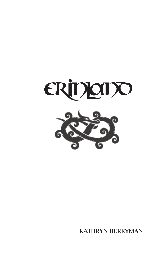

**KATHRYN BERRYMAN**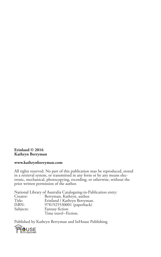#### **Erinland © 2016 Kathryn Berryman**

#### **www.kathrynberryman.com**

All rights reserved. No part of this publication may be reproduced, stored in a retrieval system, or transmitted in any form or by any means electronic, mechanical, photocopying, recording, or otherwise, without the prior written permission of the author.

National Library of Australia Cataloguing-in-Publication entry: Creator: Berryman, Kathryn, author.<br>Title: Erinland / Kathryn Berryma Title: Erinland / Kathryn Berryman.<br>ISBN: 9781925530001 (paperback) ISBN: 9781925530001 (paperback)<br>Subjects: Fantasy fiction Fantasy fiction Time travel--Fiction.

Published by Kathryn Berryman and InHouse Publishing

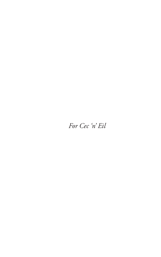### *For Cec 'n' Eil*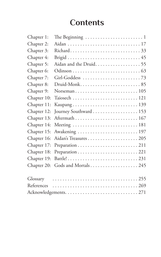## **Contents**

| The Beginning $\ldots \ldots \ldots \ldots \ldots \ldots \ldots 1$ |
|--------------------------------------------------------------------|
|                                                                    |
|                                                                    |
|                                                                    |
| Aidan and the Druid. 55                                            |
|                                                                    |
|                                                                    |
|                                                                    |
|                                                                    |
|                                                                    |
|                                                                    |
| Journey Southward 153                                              |
|                                                                    |
|                                                                    |
|                                                                    |
|                                                                    |
|                                                                    |
|                                                                    |
|                                                                    |
| Gods and Mortals245                                                |
|                                                                    |
|                                                                    |
|                                                                    |
|                                                                    |
|                                                                    |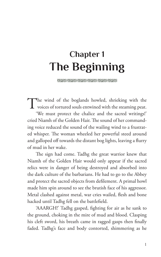# **Chapter 1 The Beginning**

(5223) (5235) (5235) (5235) (5235) (5235) (5235)

The wind of the boglands howled, shrieking with the voices of tortured souls entwined with the steaming peat. 'We must protect the chalice and the sacred writings!' cried Niamh of the Golden Hair. The sound of her commanding voice reduced the sound of the wailing wind to a frustrated whisper. The woman wheeled her powerful steed around and galloped off towards the distant bog lights, leaving a flurry of mud in her wake.

The sign had come. Tadhg the great warrior knew that Niamh of the Golden Hair would only appear if the sacred relics were in danger of being destroyed and absorbed into the dark culture of the barbarians. He had to go to the Abbey and protect the sacred objects from defilement. A primal howl made him spin around to see the brutish face of his aggressor. Metal clashed against metal, war cries wailed, flesh and bone hacked until Tadhg fell on the battlefield.

'AAARGH!' Tadhg gasped, fighting for air as he sank to the ground, choking in the mire of mud and blood. Clasping his cleft sword, his breath came in ragged gasps then finally faded. Tadhg's face and body contorted, shimmering as he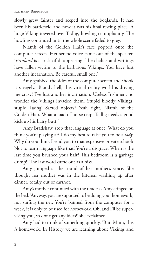slowly grew fainter and seeped into the boglands. It had been his battlefield and now it was his final resting place. A huge Viking towered over Tadhg, howling triumphantly. The howling continued until the whole scene faded to grey.

Niamh of the Golden Hair's face popped onto the computer screen. Her serene voice came out of the speaker. '*Erinland* is at risk of disappearing. The chalice and writings have fallen victim to the barbarous Vikings. You have lost another incarnation. Be careful, small one.'

Amy grabbed the sides of the computer screen and shook it savagely. 'Bloody hell, this virtual reality world is driving me crazy! I've lost another incarnation. Useless Irishmen, no wonder the Vikings invaded them. Stupid bloody Vikings, stupid Tadhg! Sacred objects? Yeah right, Niamh of the Golden Hair. What a load of horse crap! Tadhg needs a good kick up his hairy butt.'

'Amy Bradshaw, stop that language at once! What do you think you're playing at? I do my best to raise you to be a *lady*! Why do you think I send you to that expensive private school? Not to learn language like that! You're a disgrace. When is the last time you brushed your hair? This bedroom is a garbage dump!' The last word came out as a hiss.

Amy jumped at the sound of her mother's voice. She thought her mother was in the kitchen washing up after dinner, totally out of earshot.

Amy's mother continued with the tirade as Amy cringed on the bed. 'Anyway, you are supposed to be doing your homework, not surfing the net. You're banned from the computer for a week, it is only to be used for homework. Oh, and I'll be supervising you, so don't get any ideas!' she exclaimed.

Amy had to think of something quickly. 'But, Mum, this *is* homework. In History we are learning about Vikings and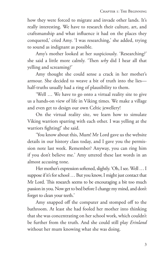how they were forced to migrate and invade other lands. It's really interesting. We have to research their culture, art, and craftsmanship and what influence it had on the places they conquered,' cried Amy. 'I was researching,' she added, trying to sound as indignant as possible.

Amy's mother looked at her suspiciously. 'Researching?' she said a little more calmly. 'Then *why* did I hear all that yelling and screaming?'

Amy thought she could sense a crack in her mother's armour. She decided to weave a bit of truth into the lies half-truths usually had a ring of plausibility to them.

'Well … We have to go onto a virtual reality site to give us a hands-on view of life in Viking times. We make a village and even get to design our own Celtic jewellery!

On the virtual reality site, we learn how to simulate Viking warriors sparring with each other. I was yelling at the warriors fighting!' she said.

'You know about this, Mum! Mr Lord gave us the website details in our history class today, and I gave you the permission note last week. Remember? Anyway, you can ring him if you don't believe me.' Amy uttered these last words in an almost accusing tone.

Her mother's expression softened, slightly. 'Oh, I see. Well … I suppose if it's for school … But you know, I might just contact that Mr Lord. This research seems to be encouraging a bit too much passion in you. Now get to bed before I change my mind, and don't forget to clean your teeth.'

Amy snapped off the computer and stomped off to the bathroom. At least she had fooled her mother into thinking that she was concentrating on her school work, which couldn't be further from the truth. And she could still play *Erinland*  without her mum knowing what she was doing.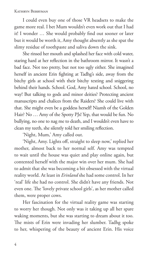I could even buy one of those VR headsets to make the game more real. I bet Mum wouldn't even work out that I had it! I wonder … She would probably find out sooner or later but it would be worth it, Amy thought absently as she spat the slimy residue of toothpaste and saliva down the sink.

She rinsed her mouth and splashed her face with cold water, staring hard at her reflection in the bathroom mirror. It wasn't a bad face. Not too pretty, but not too ugly either. She imagined herself in ancient Erin fighting at Tadhg's side, away from the bitchy girls at school with their bitchy texting and sniggering behind their hands. School. God, Amy hated school. School, no way! But talking to gods and minor deities? Protecting ancient manuscripts and chalices from the Raiders? She could live with that. She might even be a goddess herself! Niamh of the Golden Hair? No … Amy of the Spotty PJs! Yep, that would be fun. No bullying, no one to nag me to death, and I wouldn't even have to clean my teeth, she silently told her smiling reflection.

'Night, Mum,' Amy called out.

'Night, Amy. Lights off, straight to sleep now,' replied her mother, almost back to her normal self. Amy was tempted to wait until the house was quiet and play online again, but contented herself with the major win over her mum. She had to admit that she was becoming a bit obsessed with the virtual reality world. At least in *Erinland* she had some control. In her 'real' life she had no control. She didn't have any friends. Not even one. The 'lovely private school girls', as her mother called them, were proper cows.

Her fascination for the virtual reality game was starting to worry her though. Not only was it taking up all her spare waking moments, but she was starting to dream about it too. The mists of Erin were invading her slumber. Tadhg spoke to her, whispering of the beauty of ancient Erin. His voice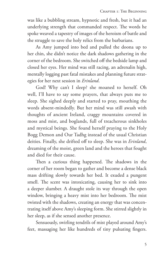was like a bubbling stream, hypnotic and fresh, but it had an underlying strength that commanded respect. The words he spoke weaved a tapestry of images of the heroism of battle and the struggle to save the holy relics from the barbarians.

As Amy jumped into bed and pulled the doona up to her chin, she didn't notice the dark shadows gathering in the corner of the bedroom. She switched off the bedside lamp and closed her eyes. Her mind was still racing, an adrenalin high, mentally logging past fatal mistakes and planning future strategies for her next session in *Erinland*.

God! Why can't I sleep? she moaned to herself. Oh well, I'll have to say some prayers, that always puts me to sleep. She sighed deeply and started to pray, mouthing the words absent-mindedly. But her mind was still awash with thoughts of ancient Ireland, craggy mountains covered in moss and mist, and boglands, full of treacherous sinkholes and mystical beings. She found herself praying to the Holy Bogg Demon and Our Tadhg instead of the usual Christian deities. Finally, she drifted off to sleep. She was in *Erinland*, dreaming of the moist, green land and the heroes that fought and died for their cause.

Then a curious thing happened. The shadows in the corner of her room began to gather and become a dense black mass drifting slowly towards her bed. It exuded a pungent smell. The scent was intoxicating, causing her to sink into a deeper slumber. A draught stole its way through the open window, bringing a heavy mist into her bedroom. The mist twisted with the shadows, creating an energy that was concentrating itself above Amy's sleeping form. She stirred slightly in her sleep, as if she sensed another presence.

Sensuously, swirling tendrils of mist played around Amy's feet, massaging her like hundreds of tiny pulsating fingers.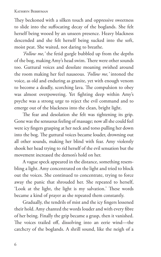They beckoned with a silken touch and oppressive sweetness to slide into the suffocating decay of the boglands. She felt herself being wooed by an unseen presence. Heavy blackness descended and she felt herself being sucked into the soft, moist peat. She waited, not daring to breathe.

*'Follow me,'* the fetid gurgle bubbled up from the depths of the bog, making Amy's head swim. There were other sounds too. Guttural voices and desolate moaning swished around the room making her feel nauseous. *'Follow me,'* intoned the voice, as old and enduring as granite, yet with enough venom to become a deadly, scorching lava. The compulsion to obey was almost overpowering. Yet fighting deep within Amy's psyche was a strong urge to reject the evil command and to emerge out of the blackness into the clean, bright light.

The fear and desolation she felt was tightening its grip. Gone was the sensuous feeling of massage; now all she could feel were icy fingers grasping at her neck and torso pulling her down into the bog. The guttural voices became louder, drowning out all other sounds, making her blind with fear. Amy violently shook her head trying to rid herself of the evil sensation but the movement increased the demon's hold on her.

A vague speck appeared in the distance, something resembling a light. Amy concentrated on the light and tried to block out the voices. She continued to concentrate, trying to force away the panic that shrouded her. She repeated to herself, 'Look at the light, the light is my salvation.' These words became a kind of prayer as she repeated them constantly.

Gradually, the tendrils of mist and the icy fingers lessened their hold. Amy chanted the words louder and with every fibre of her being. Finally the grip became a grasp, then it vanished. The voices trailed off, dissolving into an eerie wind—the catchcry of the boglands. A shrill sound, like the neigh of a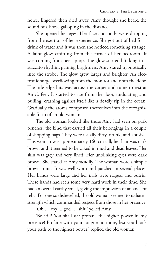horse, lingered then died away. Amy thought she heard the sound of a horse galloping in the distance.

She opened her eyes. Her face and body were dripping from the exertion of her experience. She got out of bed for a drink of water and it was then she noticed something strange. A faint glow emitting from the corner of her bedroom. It was coming from her laptop. The glow started blinking in a staccato rhythm, gaining brightness. Amy stared hypnotically into the strobe. The glow grew larger and brighter. An electronic surge overflowing from the monitor and onto the floor. The tide edged its way across the carpet and came to rest at Amy's feet. It started to rise from the floor, undulating and pulling, crashing against itself like a deadly rip in the ocean. Gradually the atoms composed themselves into the recognisable form of an old woman.

The old woman looked like those Amy had seen on park benches, the kind that carried all their belongings in a couple of shopping bags. They were usually dirty, drunk, and abusive. This woman was approximately 160 cm tall; her hair was dark brown and it seemed to be caked in mud and dead leaves. Her skin was grey and very lined. Her unblinking eyes were dark brown. She stared at Amy steadily. The woman wore a simple brown tunic. It was well worn and patched in several places. Her hands were large and her nails were ragged and putrid. These hands had seen some very hard work in their time. She had an overall earthy smell, giving the impression of an ancient relic. For one so dishevelled, the old woman seemed to radiate a strength which commanded respect from those in her presence.

'Oh … my ... god … shit!' yelled Amy.

'Be still! You shall *not* profane the higher power in my presence! Profane with your tongue no more, lest you block your path to the highest power,' replied the old woman.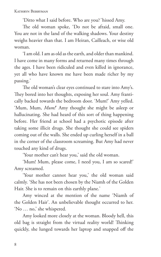'Ditto what I said before. Who are you?*'* hissed Amy.

The old woman spoke, 'Do not be afraid, small one. You are not in the land of the walking shadows. Your destiny weighs heavier than that. I am Heiran, Cailleach, or wise old woman.

'I am old. I am as old as the earth, and older than mankind. I have come in many forms and returned many times through the ages. I have been ridiculed and even killed in ignorance, yet all who have known me have been made richer by my passing.'

The old woman's clear eyes continued to stare into Amy's. They bored into her thoughts, exposing her soul. Amy frantically backed towards the bedroom door. 'Mum!' Amy yelled. 'Mum, Mum, *Mum!*' Amy thought she might be asleep or hallucinating. She had heard of this sort of thing happening before. Her friend at school had a psychotic episode after taking some illicit drugs. She thought she could see spiders coming out of the walls. She ended up curling herself in a ball in the corner of the classroom screaming. But Amy had never touched any kind of drugs.

'Your mother can't hear you,' said the old woman.

'Mum! Mum, please come, I need you, I am so scared!' Amy screamed.

'Your mother cannot hear you,' the old woman said calmly. 'She has not been chosen by the Niamh of the Golden Hair. She is to remain on this earthly plane.'

Amy winced at the mention of the name 'Niamh of the Golden Hair'. An unbelievable thought occurred to her. 'No … no,' she whispered.

Amy looked more closely at the woman. Bloody hell, this old bag is straight from the virtual reality world! Thinking quickly, she lunged towards her laptop and snapped off the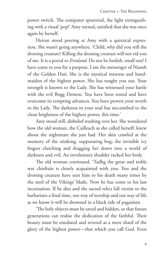power switch. The computer sputtered, the light extinguishing with a visual 'pop!' Amy turned, satisfied that she was once again by herself.

Heiran stood peering at Amy with a quizzical expression. She wasn't going anywhere. 'Child, why did you still the droning creature? Killing the droning creature will not rid you of me. It is a portal to *Erinland*. Do not be foolish, small one! I have come to you for a purpose. I am the messenger of Niamh of the Golden Hair. She is the mystical mistress and handmaiden of the highest power. She has sought you out. Your strength is known to the Lady. She has witnessed your battle with the evil Bogg Demon. You have been tested and have overcome its tempting advances. You have proven your worth to the Lady. The darkness in your soul has succumbed to the clean brightness of the highest power, this time.'

Amy stood still, disbelief washing over her. She wondered how the old woman, the Cailleach as she called herself, knew about the nightmare she just had. Her skin crawled at the memory of the stinking, suppurating bog; the invisible icy fingers clutching and dragging her down into a world of darkness and evil. An involuntary shudder racked her body.

The old woman continued, 'Tadhg the great and noble war chieftain is closely acquainted with you. You and the droning creature have sent him to his death many times by the steel of the Vikings' blade. Now he has come to his last incarnation. If he dies and the sacred relics fall victim to the barbarians a final time, our way of worship and our way of life as we know it will be drowned in a black tide of paganism.

'The holy objects must be saved and hidden, so that future generations can realise the dedication of the faithful. Their beauty must be emulated and revered as a mere shard of the glory of the highest power—that which you call God. Even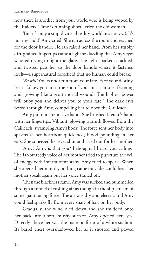now there is another from your world who is being wooed by the Raiders. Time is running short!' cried the old woman.

'But it's only a stupid virtual reality world, it's not *real*. It's not my fault!' Amy cried. She ran across the room and reached for the door handle. Heiran raised her hand. From her stubby dirt-grained fingertips came a light so dazzling that Amy's eyes watered trying to fight the glare. The light sparked, crackled, and twisted past her to the door handle where it fastened itself—a supernatural forcefield that no human could break.

'*Be still!* You cannot run from your fate. Face your destiny, lest it follow you until the end of your incarnations, festering and growing like a great mortal wound. The highest power will buoy you and deliver you to your fate.' The dark eyes bored through Amy, compelling her to obey the Cailleach.

Amy put out a tentative hand. She brushed Heiran's hand with her fingertips. Vibrant, glowing warmth flowed from the Cailleach, swamping Amy's body. The force sent her body into spasms as her heartbeat quickened, blood pounding in her ears. She squeezed her eyes shut and cried out for her mother.

'Amy? Amy, is that you? I thought I heard you calling.' The far-off reedy voice of her mother tried to puncture the veil of energy with intermittent stabs. Amy tried to speak. When she opened her mouth, nothing came out. She could hear her mother speak again but her voice trailed off.

 Then the blackness came. Amy was sucked and pummelled through a tunnel of rushing air as though in the slip-stream of some giant racing force. The air was dry and electric and Amy could feel sparks fly from every shaft of hair on her body.

Gradually, the wind died down and she thudded onto her back into a soft, mushy surface. Amy opened her eyes. Directly above her was the majestic form of a white stallion. Its barrel chest overshadowed her as it snorted and pawed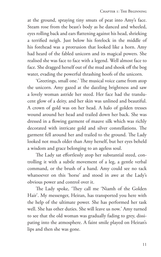at the ground, spraying tiny smuts of peat into Amy's face. Steam rose from the beast's body as he danced and wheeled, eyes rolling back and ears flattening against his head, shrieking a terrified neigh. Just below his forelock in the middle of his forehead was a protrusion that looked like a horn. Amy had heard of the fabled unicorn and its magical powers. She realised she was face to face with a legend. Well almost face to face. She dragged herself out of the mud and shook off the bog water, evading the powerful thrashing hoofs of the unicorn.

'Greetings, small one.' The musical voice came from atop the unicorn. Amy gazed at the dazzling brightness and saw a lovely woman astride her steed. Her face had the translucent glow of a deity, and her skin was unlined and beautiful. A crown of gold was on her head. A halo of golden tresses wound around her head and trailed down her back. She was dressed in a flowing garment of mauve silk which was richly decorated with intricate gold and silver constellations. The garment fell around her and trailed to the ground. The Lady looked not much older than Amy herself, but her eyes beheld a wisdom and grace belonging to an ageless soul.

The Lady sat effortlessly atop her substantial steed, controlling it with a subtle movement of a leg, a gentle verbal command, or the brush of a hand. Amy could see no tack whatsoever on this 'horse' and stood in awe at the Lady's obvious power and control over it.

The Lady spoke, 'They call me 'Niamh of the Golden Hair'. My messenger, Heiran, has transported you here with the help of the ultimate power. She has performed her task well. She has other duties. She will leave us now.' Amy turned to see that the old woman was gradually fading to grey, dissipating into the atmosphere. A faint smile played on Heiran's lips and then she was gone.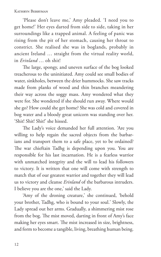'Please don't leave me,' Amy pleaded. 'I need you to get home!' Her eyes darted from side to side, taking in her surroundings like a trapped animal. A feeling of panic was rising from the pit of her stomach, causing her throat to constrict. She realised she was in boglands, probably in ancient Ireland … straight from the virtual reality world, in *Erinland* … oh shit!

The large, spongy, and uneven surface of the bog looked treacherous to the uninitiated. Amy could see small bodies of water, sinkholes, between the drier hummocks. She saw tracks made from planks of wood and thin branches meandering their way across the soggy mass. Amy wondered what they were for. She wondered if she should run away. Where would she go? How could she get home? She was cold and covered in bog water and a bloody great unicorn was standing over her. 'Shit! Shit! Shit!' she hissed.

The Lady's voice demanded her full attention. 'Are you willing to help regain the sacred objects from the barbarians and transport them to a safe place, yet to be ordained? The war chieftain Tadhg is depending upon you. You are responsible for his last incarnation. He is a fearless warrior with unmatched integrity and the will to lead his followers to victory. It is written that one will come with strength to match that of our greatest warrior and together they will lead us to victory and cleanse *Erinland* of the barbarous intruders. I believe you are the one,' said the Lady.

'Amy of the droning creature,' she continued, 'behold your brother, Tadhg, who is bound to your soul.' Slowly, the Lady spread out her arms. Gradually, a shimmering mist rose from the bog. The mist moved, darting in front of Amy's face making her eyes smart. The mist increased in size, brightness, and form to become a tangible, living, breathing human being.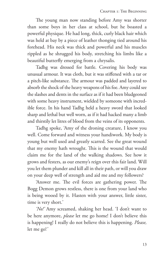The young man now standing before Amy was shorter than some boys in her class at school, but he boasted a powerful physique. He had long, thick, curly black hair which was held at bay by a piece of leather thonging tied around his forehead. His neck was thick and powerful and his muscles rippled as he shrugged his body, stretching his limbs like a beautiful butterfly emerging from a chrysalis.

Tadhg was dressed for battle. Covering his body was unusual armour. It was cloth, but it was stiffened with a tar or a pitch-like substance. The armour was padded and layered to absorb the shock of the heavy weapons of his foe. Amy could see the slashes and dents in the surface as if it had been bludgeoned with some heavy instrument, wielded by someone with incredible force. In his hand Tadhg held a heavy sword that looked sharp and lethal but well worn, as if it had hacked many a limb and thirstily let litres of blood from the veins of its opponents.

Tadhg spoke, 'Amy of the droning creature, I know you well. Come forward and witness your handiwork. My body is young but well used and greatly scarred. See the great wound that my enemy hath wrought. This is the wound that would claim me for the land of the walking shadows. See how it grows and festers, as our enemy's reign over this fair land. Will you let them plunder and kill all in their path, or will you draw on your deep well of strength and aid me and my followers?

'Answer me. The evil forces are gathering power. The Bogg Demon grows restless, there is one from your land who is being wooed by it. Hasten with your answer, little sister, time is very short.'

*'No!'* Amy screamed, shaking her head. 'I don't want to be here anymore, *please* let me go home! I don't believe this is happening! I really do not believe this is happening. *Please,* let me go!*'*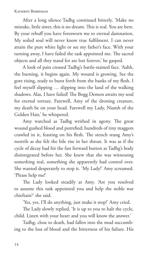After a long silence Tadhg continued bitterly, 'Make no mistake, little sister, this is no dream. This is real. You are here. By your rebuff you have foresworn me to eternal damnation. My soiled soul will never know true fulfilment. I can never attain the pure white light or see my father's face. With your turning away, I have failed the task appointed me. The sacred objects and all they stand for are lost forever,' he gasped.

A look of pain crossed Tadhg's battle-stained face. 'Aahh, the burning, it begins again. My wound is growing. See the gore rising, ready to burst forth from the banks of my flesh. I feel myself slipping … slipping into the land of the walking shadows. Alas, I have failed! The Bogg Demon awaits my soul for eternal torture. Farewell, Amy of the droning creature, my death be on your head. Farewell my Lady, Niamh of the Golden Hair,' he whispered.

Amy watched as Tadhg writhed in agony. The great wound gushed blood and putrefied; hundreds of tiny maggots crawled in it, feasting on his flesh. The stench stung Amy's nostrils as she felt the bile rise in her throat. It was as if the cycle of decay had hit the fast forward button as Tadhg's body disintegrated before her. She knew that she was witnessing something real, something she apparently had control over. She wanted desperately to stop it. 'My Lady!' Amy screamed. 'Please help me!'

The Lady looked steadily at Amy. 'Are you resolved to assume this task appointed you and help the noble war chieftain?' she said.

'Yes, yes, I'll do anything, just make it stop!' Amy cried.

The Lady slowly replied, 'It is up to you to halt the cycle, child. Listen with your heart and you will know the answer.'

Tadhg, close to death, had fallen into the mud succumbing to the loss of blood and the bitterness of his failure. His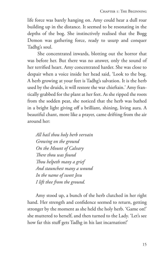life force was barely hanging on. Amy could hear a dull roar building up in the distance. It seemed to be resonating in the depths of the bog. She instinctively realised that the Bogg Demon was gathering force, ready to usurp and conquer Tadhg's soul.

 She concentrated inwards, blotting out the horror that was before her. But there was no answer, only the sound of her terrified heart. Amy concentrated harder. She was close to despair when a voice inside her head said, 'Look to the bog. A herb growing at your feet is Tadhg's salvation. It is the herb used by the druids, it will restore the war chieftain.' Amy frantically grabbed for the plant at her feet. As she ripped the roots from the sodden peat, she noticed that the herb was bathed in a bright light giving off a brilliant, shining, living aura. A beautiful chant, more like a prayer, came drifting from the air around her:

*All hail thou holy herb vervain Growing on the ground On the Mount of Calvary There thou was found Thou helpeth many a grief And staunchest many a wound In the name of sweet Jesu I lift thee from the ground.*

Amy stood up, a bunch of the herb clutched in her right hand. Her strength and confidence seemed to return, getting stronger by the moment as she held the holy herb. 'Game on!' she muttered to herself, and then turned to the Lady. 'Let's see how far this stuff gets Tadhg in his last incarnation!'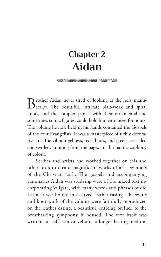# **Chapter 2 Aidan**

#### (5223) (5235) (5235) (5235) (5235) (5235) (5235)

Brother Aidan never tired of looking at the holy manu-<br>Script. The beautiful, intricate plait-work and spiral knots, and the complex panels with their ornamental and sometimes comic figures, could hold him entranced for hours. The volume he now held in his hands contained the Gospels of the four Evangelists. It was a masterpiece of richly decorative art. The vibrant yellows, reds, blues, and greens cascaded and swirled, jumping from the pages in a brilliant cacophony of colour.

Scribes and artists had worked together on this and other texts to create magnificent works of art—symbols of the Christian faith. The gospels and accompanying summaries Aidan was studying were of the mixed text incorporating Vulgate, with many words and phrases of old Latin. It was bound in a carved leather casing. The swirls and knot-work of the volume were faithfully reproduced on the leather casing, a beautiful, enticing prelude to the breathtaking symphony it housed. The text itself was written on calf-skin or vellum, a longer lasting medium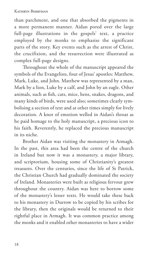than parchment, and one that absorbed the pigments in a more permanent manner. Aidan pored over the large full-page illustrations in the gospels' text, a practice employed by the monks to emphasise the significant parts of the story. Key events such as the arrest of Christ, the crucifixion, and the resurrection were illustrated as complex full-page designs.

Throughout the whole of the manuscript appeared the symbols of the Evangelists, four of Jesus' apostles: Matthew, Mark, Luke, and John. Matthew was represented by a man, Mark by a lion, Luke by a calf, and John by an eagle. Other animals, such as fish, cats, mice, hens, snakes, dragons, and many kinds of birds, were used also; sometimes clearly symbolising a section of text and at other times simply for lively decoration. A knot of emotion welled in Aidan's throat as he paid homage to the holy manuscript, a precious icon to his faith. Reverently, he replaced the precious manuscript in its niche.

Brother Aidan was visiting the monastery in Armagh. In the past, this area had been the centre of the church in Ireland but now it was a monastery, a major library, and scriptorium, housing some of Christianity's greatest treasures. Over the centuries, since the life of St Patrick, the Christian Church had gradually dominated the society of Ireland. Monasteries were built as religious fervour grew throughout the country. Aidan was here to borrow some of the monastery's lesser texts. He would take these back to his monastery in Durrow to be copied by his scribes for the library, then the originals would be returned to their rightful place in Armagh. It was common practice among the monks and it enabled other monasteries to have a wider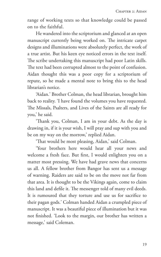range of working texts so that knowledge could be passed on to the faithful.

He wandered into the scriptorium and glanced at an open manuscript currently being worked on. The intricate carpet designs and illuminations were absolutely perfect, the work of a true artist. But his keen eye noticed errors in the text itself. The scribe undertaking this manuscript had poor Latin skills. The text had been corrupted almost to the point of confusion. Aidan thought this was a poor copy for a scriptorium of repute, so he made a mental note to bring this to the head librarian's notice.

'Aidan.' Brother Colman, the head librarian, brought him back to reality. 'I have found the volumes you have requested. The Missals, Psalters, and Lives of the Saints are all ready for you,' he said.

'Thank you, Colman, I am in your debt. As the day is drawing in, if it is your wish, I will pray and sup with you and be on my way on the morrow,' replied Aidan.

'That would be most pleasing, Aidan,' said Colman.

'Your brothers here would hear all your news and welcome a fresh face. But first, I would enlighten you on a matter most pressing. We have had grave news that concerns us all. A fellow brother from Bangor has sent us a message of warning. Raiders are said to be on the move not far from that area. It is thought to be the Vikings again, come to claim this land and defile it. The messenger told of many evil deeds. It is rumoured that they torture and use us for sacrifice to their pagan gods.' Colman handed Aidan a crumpled piece of manuscript. It was a beautiful piece of illumination but it was not finished. 'Look to the margin, our brother has written a message,' said Coleman.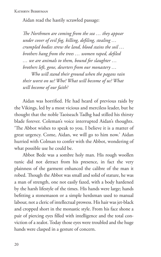Aidan read the hastily scrawled passage:

*The Northmen are coming from the sea … they appear under cover of evil fog, killing, defiling, stealing … crumpled bodies strew the land, blood stains the soil … brothers hang from the trees … women raped, defiled … we are animals to them, bound for slaughter … brothers left, gone, deserters from our monastery … Who will stand their ground when the pagans rain their worst on us? Who? What will become of us? What will become of our faith?*

Aidan was horrified. He had heard of previous raids by the Vikings, led by a most vicious and merciless leader, but he thought that the noble Taoiseach Tadhg had stilled his thirsty blade forever. Coleman's voice interrupted Aidan's thoughts. 'The Abbot wishes to speak to you. I believe it is a matter of great urgency. Come, Aidan, we will go to him now.' Aidan hurried with Colman to confer with the Abbot, wondering of what possible use he could be.

Abbot Bede was a sombre holy man. His rough woollen tunic did not detract from his presence, in fact the very plainness of the garment enhanced the calibre of the man it robed. Though the Abbot was small and solid of stature, he was a man of strength, one not easily fazed, with a body hardened by the harsh lifestyle of the times. His hands were large; hands befitting a stonemason or a simple herdsman used to manual labour, not a cleric of intellectual prowess. His hair was jet-black and cropped short in the monastic style. From his face shone a pair of piercing eyes filled with intelligence and the total conviction of a zealot. Today those eyes were troubled and the huge hands were clasped in a gesture of concern.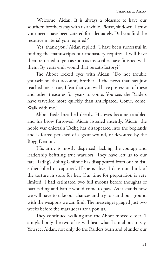'Welcome, Aidan. It is always a pleasure to have our southern brothers stay with us a while. Please, sit down. I trust your needs have been catered for adequately. Did you find the resource material you required?'

'Yes, thank you,' Aidan replied. 'I have been successful in finding the manuscripts our monastery requires. I will have them returned to you as soon as my scribes have finished with them. By years end, would that be satisfactory?'

The Abbot locked eyes with Aidan. 'Do not trouble yourself on that account, brother. If the news that has just reached me is true, I fear that you will have possession of these and other treasures for years to come. You see, the Raiders have travelled more quickly than anticipated. Come, come. Walk with me.'

Abbot Bede breathed deeply. His eyes became troubled and his brow furrowed. Aidan listened intently. 'Aidan, the noble war chieftain Tadhg has disappeared into the boglands and is feared perished of a great wound, or devoured by the Bogg Demon.

'His army is mostly dispersed, lacking the courage and leadership befitting true warriors. They have left us to our fate. Tadhg's sibling Gráinne has disappeared from our midst, either killed or captured. If she is alive, I dare not think of the torture in store for her. Our time for preparation is very limited. I had estimated two full moons before thoughts of barricading and battle would come to pass. As it stands now we will have to take our chances and try to stand our ground with the weapons we can find. The messenger gauged just two weeks before the marauders are upon us.'

They continued walking and the Abbot moved closer. 'I am glad only the two of us will hear what I am about to say. You see, Aidan, not only do the Raiders burn and plunder our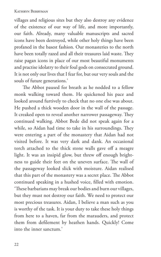villages and religious sites but they also destroy any evidence of the existence of our way of life, and more importantly, our faith. Already, many valuable manuscripts and sacred icons have been destroyed, while other holy things have been profaned in the basest fashion. Our monasteries to the north have been totally razed and all their treasures laid waste. They raise pagan icons in place of our most beautiful monuments and practise idolatry to their foul gods on consecrated ground. It is not only our lives that I fear for, but our very souls and the souls of future generations.'

The Abbot paused for breath as he nodded to a fellow monk walking toward them. He quickened his pace and looked around furtively to check that no one else was about. He pushed a thick wooden door in the wall of the passage. It creaked open to reveal another narrower passageway. They continued walking. Abbot Bede did not speak again for a while, so Aidan had time to take in his surroundings. They were entering a part of the monastery that Aidan had not visited before. It was very dark and dank. An occasional torch attached to the thick stone walls gave off a meagre light. It was an insipid glow, but threw off enough brightness to guide their feet on the uneven surface. The wall of the passageway looked slick with moisture. Aidan realised that this part of the monastery was a secret place. The Abbot continued speaking in a hushed voice, filled with emotion. 'These barbarians may break our bodies and burn our villages, but they must not destroy our faith. We need to protect our most precious treasures. Aidan, I believe a man such as you is worthy of the task. It is your duty to take these holy things from here to a haven, far from the marauders, and protect them from defilement by heathen hands. Quickly! Come into the inner sanctum.'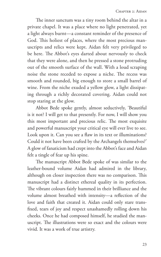The inner sanctum was a tiny room behind the altar in a private chapel. It was a place where no light penetrated, yet a light always burnt—a constant reminder of the presence of God. This holiest of places, where the most precious manuscripts and relics were kept. Aidan felt very privileged to be here. The Abbot's eyes darted about nervously to check that they were alone, and then he pressed a stone protruding out of the smooth surface of the wall. With a loud scraping noise the stone receded to expose a niche. The recess was smooth and rounded, big enough to store a small barrel of wine. From the niche exuded a yellow glow, a light dissipating through a richly decorated covering. Aidan could not stop staring at the glow.

Abbot Bede spoke gently, almost seductively, 'Beautiful is it not? I will get to that presently. For now, I will show you this most important and precious relic. The most exquisite and powerful manuscript your critical eye will ever live to see. Look upon it. Can you see a flaw in its text or illuminations? Could it not have been crafted by the Archangels themselves?' A glow of fanaticism had crept into the Abbot's face and Aidan felt a tingle of fear up his spine.

The manuscript Abbot Bede spoke of was similar to the leather-bound volume Aidan had admired in the library, although on closer inspection there was no comparison. This manuscript had a distinct ethereal quality in its perfection. The vibrant colours fairly hummed in their brilliance and the volume almost breathed with intensity—a reflection of the love and faith that created it. Aidan could only stare transfixed, tears of joy and respect unashamedly rolling down his cheeks. Once he had composed himself, he studied the manuscript. The illustrations were so exact and the colours were vivid. It was a work of true artistry.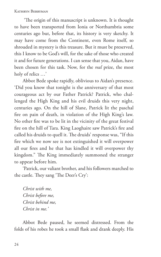'The origin of this manuscript is unknown. It is thought to have been transported from Ionia or Northumbria some centuries ago but, before that, its history is very sketchy. It may have come from the Continent, even Rome itself, so shrouded in mystery is this treasure. But it must be preserved, this I know to be God's will, for the sake of those who created it and for future generations. I can sense that you, Aidan, have been chosen for this task. Now, for the *real* prize, the most holy of relics …'

Abbot Bede spoke rapidly, oblivious to Aidan's presence. 'Did you know that tonight is the anniversary of that most courageous act by our Father Patrick? Patrick, who challenged the High King and his evil druids this very night, centuries ago. On the hill of Slane, Patrick lit the paschal fire on pain of death, in violation of the High King's law. No other fire was to be lit in the vicinity of the great festival fire on the hill of Tara. King Laoghaire saw Patrick's fire and called his druids to quell it. The druids' response was, "If this fire which we now see is not extinguished it will overpower all our fires and he that has kindled it will overpower thy kingdom." The King immediately summoned the stranger to appear before him.

'Patrick, our valiant brother, and his followers marched to the castle. They sang 'The Deer's Cry':

*Christ with me, Christ before me, Christ behind me, Christ in me.'*

Abbot Bede paused, he seemed distressed. From the folds of his robes he took a small flask and drank deeply. His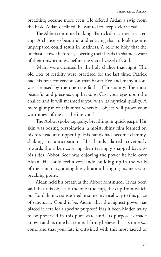breathing became more even. He offered Aidan a swig from the flask. Aidan declined; he wanted to keep a clear head.

The Abbot continued talking. 'Patrick also carried a sacred cup. A chalice so beautiful and enticing that to look upon it unprepared could result in madness. A relic so holy that the unchaste cower before it, covering their heads in shame, aware of their unworthiness before the sacred vessel of God.

'Many were cleansed by the holy chalice that night. The old rites of fertility were practised for the last time. Patrick had his first conversion on that Easter Eve and many a soul was cleansed by the one true faith—Christianity. The most beautiful and precious cup beckons. Cast your eyes upon the chalice and it will mesmerise you with its mystical quality. A mere glimpse of this most venerable object will prove your worthiness of the task before you.'

The Abbot spoke raggedly, breathing in quick gasps. His skin was oozing perspiration, a moist, shiny film formed on his forehead and upper lip. His hands had become clammy, shaking in anticipation. His hands darted covetously towards the silken covering then teasingly snapped back to his sides. Abbot Bede was enjoying the power he held over Aidan. He could feel a crescendo building up in the walls of the sanctuary, a tangible vibration bringing his nerves to breaking point.

Aidan held his breath as the Abbot continued, 'It has been said that this object is the one true cup, the cup from which our Lord drank, transported in some mystical way to this place of sanctuary. Could it be, Aidan, that the highest power has placed it here for a specific purpose? Has it been hidden away to be preserved in this pure state until its purpose is made known and its time has come? I firmly believe that its time *has* come and that your fate is entwined with this most sacred of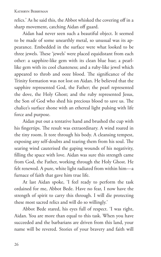relics.' As he said this, the Abbot whisked the covering off in a sharp movement, catching Aidan off guard.

Aidan had never seen such a beautiful object. It seemed to be made of some unearthly metal, so unusual was its appearance. Embedded in the surface were what looked to be three jewels. These 'jewels' were placed equidistant from each other: a sapphire-like gem with its clean blue hue; a pearllike gem with its cool chasteness; and a ruby-like jewel which appeared to throb and ooze blood. The significance of the Trinity formation was not lost on Aidan. He believed that the sapphire represented God, the Father; the pearl represented the dove, the Holy Ghost; and the ruby represented Jesus, the Son of God who shed his precious blood to save us. The chalice's surface shone with an ethereal light pulsing with life force and purpose.

Aidan put out a tentative hand and brushed the cup with his fingertips. The result was extraordinary. A wind roared in the tiny room. It tore through his body. A cleansing tempest, exposing any self-doubts and tearing them from his soul. The searing wind cauterised the gaping wounds of his negativity, filling the space with love. Aidan was sure this strength came from God, the Father, working through the Holy Ghost. He felt renewed. A pure, white light radiated from within him—a furnace of faith that gave him true life.

At last Aidan spoke, 'I feel ready to perform the task ordained for me, Abbot Bede. Have no fear, I now have the strength of spirit to carry this through. I will die protecting these most sacred relics and will do so willingly.'

Abbot Bede stared, his eyes full of respect. 'I was right, Aidan. You are more than equal to this task. When you have succeeded and the barbarians are driven from this land, your name will be revered. Stories of your bravery and faith will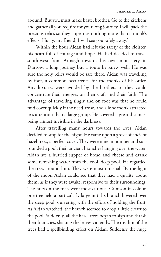abound. But you must make haste, brother. Go to the kitchens and gather all you require for your long journey. I will pack the precious relics so they appear as nothing more than a monk's effects. Hurry, my friend, I will see you safely away.'

Within the hour Aidan had left the safety of the cloister, his heart full of courage and hope. He had decided to travel south-west from Armagh towards his own monastery in Durrow, a long journey but a route he knew well. He was sure the holy relics would be safe there. Aidan was travelling by foot, a common occurrence for the monks of his order. Any luxuries were avoided by the brothers so they could concentrate their energies on their craft and their faith. The advantage of travelling singly and on foot was that he could find cover quickly if the need arose, and a lone monk attracted less attention than a large group. He covered a great distance, being almost invisible in the darkness.

After travelling many hours towards the river, Aidan decided to stop for the night. He came upon a grove of ancient hazel trees, a perfect cover. They were nine in number and surrounded a pool, their ancient branches hanging over the water. Aidan ate a hurried supper of bread and cheese and drank some refreshing water from the cool, deep pool. He regarded the trees around him. They were most unusual. By the light of the moon Aidan could see that they had a quality about them, as if they were awake, responsive to their surroundings. The nuts on the trees were most curious. Crimson in colour, one tree held a particularly large nut. Its branch hovered over the deep pool, quivering with the effort of holding the fruit. As Aidan watched, the branch seemed to drop a little closer to the pool. Suddenly, all the hazel trees began to sigh and thrash their branches, shaking the leaves violently. The rhythm of the trees had a spellbinding effect on Aidan. Suddenly the huge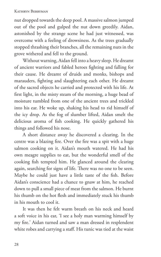nut dropped towards the deep pool. A massive salmon jumped out of the pool and gulped the nut down greedily. Aidan, astonished by the strange scene he had just witnessed, was overcome with a feeling of drowsiness. As the trees gradually stopped thrashing their branches, all the remaining nuts in the grove withered and fell to the ground.

Without warning, Aidan fell into a heavy sleep. He dreamt of ancient warriors and fabled heroes fighting and falling for their cause. He dreamt of druids and monks, bishops and marauders, fighting and slaughtering each other. He dreamt of the sacred objects he carried and protected with his life. At first light, in the misty steam of the morning, a huge bead of moisture tumbled from one of the ancient trees and trickled into his ear. He woke up, shaking his head to rid himself of the icy drop. As the fog of slumber lifted, Aidan smelt the delicious aroma of fish cooking. He quickly gathered his things and followed his nose.

A short distance away he discovered a clearing. In the centre was a blazing fire. Over the fire was a spit with a huge salmon cooking on it. Aidan's mouth watered. He had his own meagre supplies to eat, but the wonderful smell of the cooking fish tempted him. He glanced around the clearing again, searching for signs of life. There was no one to be seen. Maybe he could just have a little taste of the fish. Before Aidan's conscience had a chance to gnaw at him, he reached down to pull a small piece of meat from the salmon. He burnt his thumb on the hot flesh and immediately stuck his thumb in his mouth to cool it.

It was then he felt warm breath on his neck and heard a soft voice in his ear, 'I see a holy man warming himself by my fire.' Aidan turned and saw a man dressed in resplendent white robes and carrying a staff. His tunic was tied at the waist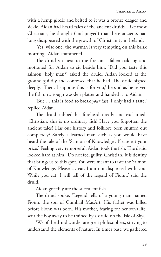with a hemp girdle and belted to it was a bronze dagger and sickle. Aidan had heard tales of the ancient druids. Like most Christians, he thought (and prayed) that these ancients had long disappeared with the growth of Christianity in Ireland.

'Yes, wise one, the warmth is very tempting on this brisk morning,' Aidan stammered.

The druid sat next to the fire on a fallen oak log and motioned for Aidan to sit beside him. 'Did you taste this salmon, holy man?' asked the druid. Aidan looked at the ground guiltily and confessed that he had. The druid sighed deeply. 'Then, I suppose this is for you,' he said as he served the fish on a rough wooden platter and handed it to Aidan.

'But … this is food to break *your* fast, I only had a taste,' replied Aidan.

The druid rubbed his forehead tiredly and exclaimed, 'Christian, this is no ordinary fish! Have you forgotten the ancient tales? Has our history and folklore been snuffed out completely? Surely a learned man such as you would have heard the tale of the 'Salmon of Knowledge'. Please eat your prize.' Feeling very remorseful, Aidan took the fish. The druid looked hard at him. 'Do not feel guilty, Christian. It is destiny that brings us to this spot. You were meant to taste the Salmon of Knowledge. Please … eat. I am not displeased with you. While you eat, I will tell of the legend of Fionn,' said the druid.

Aidan greedily ate the succulent fish.

The druid spoke, 'Legend tells of a young man named Fionn, the son of Cumhail MacArt. His father was killed before Fionn was born. His mother, fearing for her son's life, sent the boy away to be trained by a druid on the Isle of Skye.

'We of the druidic order are great philosophers, striving to understand the elements of nature. In times past, we gathered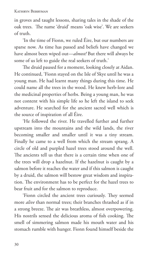in groves and taught lessons, sharing tales in the shade of the oak trees. The name 'druid' means 'oak wise'. We are seekers of truth.

'In the time of Fionn, we ruled Éire, but our numbers are sparse now. As time has passed and beliefs have changed we have almost been wiped out—*almost!* But there will always be some of us left to guide the real seekers of truth.'

The druid paused for a moment, looking closely at Aidan. He continued, 'Fionn stayed on the Isle of Skye until he was a young man. He had learnt many things during this time. He could name all the trees in the wood. He knew herb-lore and the medicinal properties of herbs. Being a young man, he was not content with his simple life so he left the island to seek adventure. He searched for the ancient sacred well which is the source of inspiration of all Éire.

'He followed the river. He travelled further and further upstream into the mountains and the wild lands, the river becoming smaller and smaller until it was a tiny stream. Finally he came to a well from which the stream sprang. A circle of old and purpled hazel trees stood around the well. The ancients tell us that there is a certain time when one of the trees will drop a hazelnut. If the hazelnut is caught by a salmon before it reaches the water and if this salmon is caught by a druid, the salmon will bestow great wisdom and inspiration. The environment has to be perfect for the hazel trees to bear fruit and for the salmon to reproduce.

'Fionn circled the ancient trees curiously. They seemed more *alive* than normal trees; their branches thrashed as if in a strong breeze. The air was breathless, almost overpowering. His nostrils sensed the delicious aroma of fish cooking. The smell of simmering salmon made his mouth water and his stomach rumble with hunger. Fionn found himself beside the